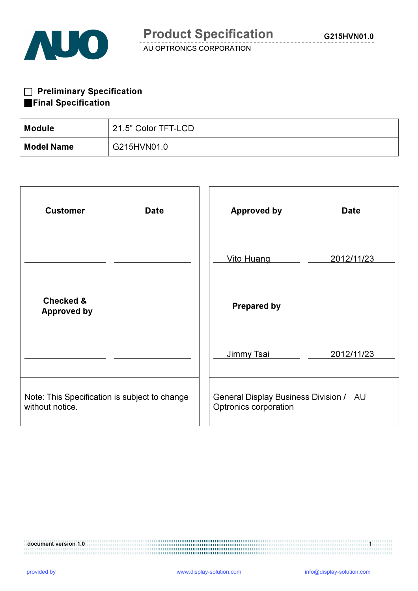

# □ Preliminary Specification ■Final Specification

| Module            | 21.5" Color TFT-LCD |
|-------------------|---------------------|
| <b>Model Name</b> | G215HVN01.0         |

| <b>Customer</b><br><b>Date</b>                                   | <b>Approved by</b><br><b>Date</b>                               |
|------------------------------------------------------------------|-----------------------------------------------------------------|
|                                                                  | <b>Vito Huang</b><br>2012/11/23                                 |
| <b>Checked &amp;</b><br><b>Approved by</b>                       | <b>Prepared by</b>                                              |
|                                                                  | Jimmy Tsai<br>2012/11/23                                        |
| Note: This Specification is subject to change<br>without notice. | General Display Business Division / AU<br>Optronics corporation |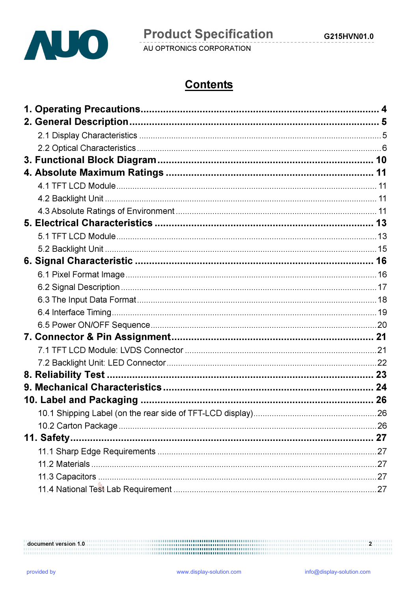

# **Contents**

| 11. Safety |  |
|------------|--|
|            |  |
|            |  |
|            |  |
|            |  |

document version 1.0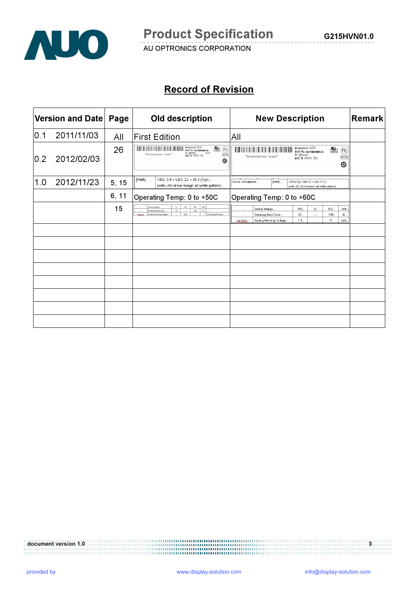

# Record of Revision

|     | <b>Version and Date</b> | Page  | <b>Old description</b>                                                                                                                                                                               | <b>New Description</b>                                                                                                                                                                                           | <b>Remark</b> |
|-----|-------------------------|-------|------------------------------------------------------------------------------------------------------------------------------------------------------------------------------------------------------|------------------------------------------------------------------------------------------------------------------------------------------------------------------------------------------------------------------|---------------|
| 0.1 | 2011/11/03              | All   | <b>First Edition</b>                                                                                                                                                                                 | All                                                                                                                                                                                                              |               |
| 0.2 | 2012/02/03              | 26    | Monufactured XX/XX<br>Model No: G215HVN01.0+<br>$\mathbb{R}$<br>Al) Optronies<br>AAXXX<br>$R_0H_0$<br>*xxxxxxxxxxxx-xxxxx*<br>WADE IN XXXXXX (XX)<br>⊕                                               | Monufactured XX/XX<br>$\frac{6}{204356}$<br>$\circledR$<br>Model No: G215HVN01.0+<br>AU Optranies<br>RoHS<br>*xxxxxxxxxxxx-xxxxx*<br><b>MADE IN XXXXXX (XX)</b><br>⊕                                             |               |
| 1.0 | 2012/11/23              | 5, 15 | VDD: $4.4 +$ LED: $22 = 26.4$ (Typ.).<br>[Watt].<br>(with LED driver board, all white pattern).                                                                                                      | [Watt].<br>Power Consumption.<br>23 W (Typ. Cell 3.5 + LED 19.2).<br>(with LED driver board, all white pattern).                                                                                                 |               |
|     |                         | 6, 11 | Operating Temp: 0 to +50C                                                                                                                                                                            | Operating Temp: 0 to +60C                                                                                                                                                                                        |               |
|     |                         | 15    | 3.3.1<br>Vot.<br>Swing Voltage.<br>0.1<br>$3.6 -$<br>100.<br>10.7<br>$\mathcal{H}_\mathrm{in}$<br>Dimming Duty Cycle.<br>$\sim$<br>N/A-<br>Analog Dimming Votage.<br>No Analog Dimming.<br>Vanalog - | Swing Voltage.<br>4.8.<br>5.<br>5.5.<br>Volt.<br>$\mathcal{A}$<br>10.5<br>$%$ .<br>Dimming Duty Cyde.<br>100.5<br>$\sim 10^{-1}$<br>$\mathcal{A}$<br>5.1<br>1.5.<br>Volt.<br>Analog Dimming Voltage.<br>Vanalog. |               |
|     |                         |       |                                                                                                                                                                                                      |                                                                                                                                                                                                                  |               |
|     |                         |       |                                                                                                                                                                                                      |                                                                                                                                                                                                                  |               |
|     |                         |       |                                                                                                                                                                                                      |                                                                                                                                                                                                                  |               |
|     |                         |       |                                                                                                                                                                                                      |                                                                                                                                                                                                                  |               |
|     |                         |       |                                                                                                                                                                                                      |                                                                                                                                                                                                                  |               |
|     |                         |       |                                                                                                                                                                                                      |                                                                                                                                                                                                                  |               |
|     |                         |       |                                                                                                                                                                                                      |                                                                                                                                                                                                                  |               |
|     |                         |       |                                                                                                                                                                                                      |                                                                                                                                                                                                                  |               |

document version 1.0 3<br> $\frac{3}{2}$ 

G215HVN01.0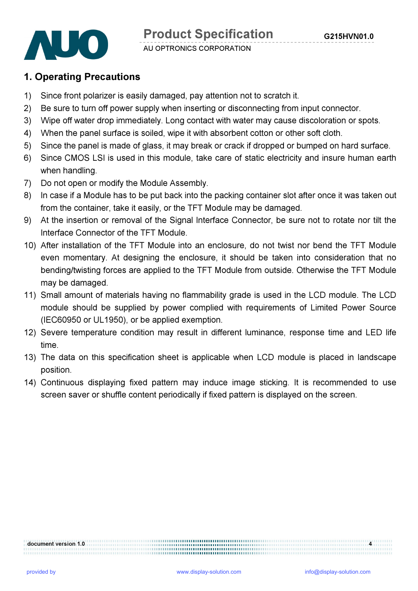

# 1. Operating Precautions

- 1) Since front polarizer is easily damaged, pay attention not to scratch it.
- 2) Be sure to turn off power supply when inserting or disconnecting from input connector.
- 3) Wipe off water drop immediately. Long contact with water may cause discoloration or spots.
- 4) When the panel surface is soiled, wipe it with absorbent cotton or other soft cloth.
- 5) Since the panel is made of glass, it may break or crack if dropped or bumped on hard surface.
- 6) Since CMOS LSI is used in this module, take care of static electricity and insure human earth when handling.
- 7) Do not open or modify the Module Assembly.
- 8) In case if a Module has to be put back into the packing container slot after once it was taken out from the container, take it easily, or the TFT Module may be damaged.
- 9) At the insertion or removal of the Signal Interface Connector, be sure not to rotate nor tilt the Interface Connector of the TFT Module.
- 10) After installation of the TFT Module into an enclosure, do not twist nor bend the TFT Module even momentary. At designing the enclosure, it should be taken into consideration that no bending/twisting forces are applied to the TFT Module from outside. Otherwise the TFT Module may be damaged.
- 11) Small amount of materials having no flammability grade is used in the LCD module. The LCD module should be supplied by power complied with requirements of Limited Power Source (IEC60950 or UL1950), or be applied exemption.
- 12) Severe temperature condition may result in different luminance, response time and LED life time.
- 13) The data on this specification sheet is applicable when LCD module is placed in landscape position.
- 14) Continuous displaying fixed pattern may induce image sticking. It is recommended to use screen saver or shuffle content periodically if fixed pattern is displayed on the screen.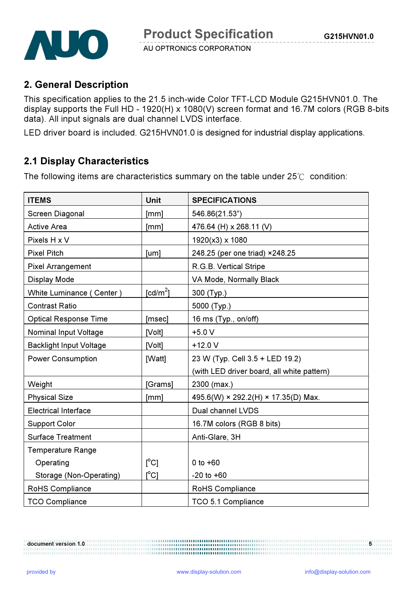

# 2. General Description

This specification applies to the 21.5 inch-wide Color TFT-LCD Module G215HVN01.0. The display supports the Full HD - 1920(H) x 1080(V) screen format and 16.7M colors (RGB 8-bits data). All input signals are dual channel LVDS interface.

LED driver board is included. G215HVN01.0 is designed for industrial display applications.

# 2.1 Display Characteristics

The following items are characteristics summary on the table under 25℃ condition:

| <b>ITEMS</b>                   | Unit                    | <b>SPECIFICATIONS</b>                      |
|--------------------------------|-------------------------|--------------------------------------------|
| Screen Diagonal                | [mm]                    | 546.86(21.53")                             |
| <b>Active Area</b>             | [mm]                    | 476.64 (H) x 268.11 (V)                    |
| Pixels H x V                   |                         | 1920(x3) x 1080                            |
| <b>Pixel Pitch</b>             | [um]                    | 248.25 (per one triad) ×248.25             |
| <b>Pixel Arrangement</b>       |                         | R.G.B. Vertical Stripe                     |
| <b>Display Mode</b>            |                         | VA Mode, Normally Black                    |
| White Luminance (Center)       | $\text{[cd/m}^2$        | 300 (Typ.)                                 |
| <b>Contrast Ratio</b>          |                         | 5000 (Typ.)                                |
| <b>Optical Response Time</b>   | [msec]                  | 16 ms (Typ., on/off)                       |
| <b>Nominal Input Voltage</b>   | [Volt]                  | $+5.0V$                                    |
| <b>Backlight Input Voltage</b> | [Volt]                  | $+12.0 V$                                  |
| <b>Power Consumption</b>       | [Watt]                  | 23 W (Typ. Cell 3.5 + LED 19.2)            |
|                                |                         | (with LED driver board, all white pattern) |
| Weight                         | [Grams]                 | 2300 (max.)                                |
| <b>Physical Size</b>           | [mm]                    | 495.6(W) × 292.2(H) × 17.35(D) Max.        |
| <b>Electrical Interface</b>    |                         | Dual channel LVDS                          |
| <b>Support Color</b>           |                         | 16.7M colors (RGB 8 bits)                  |
| <b>Surface Treatment</b>       |                         | Anti-Glare, 3H                             |
| <b>Temperature Range</b>       |                         |                                            |
| Operating                      | $\mathsf{I}^{\circ}$ C] | 0 to $+60$                                 |
| Storage (Non-Operating)        | $\mathsf{I}^{\circ}$ C] | $-20$ to $+60$                             |
| RoHS Compliance                |                         | RoHS Compliance                            |
| <b>TCO Compliance</b>          |                         | TCO 5.1 Compliance                         |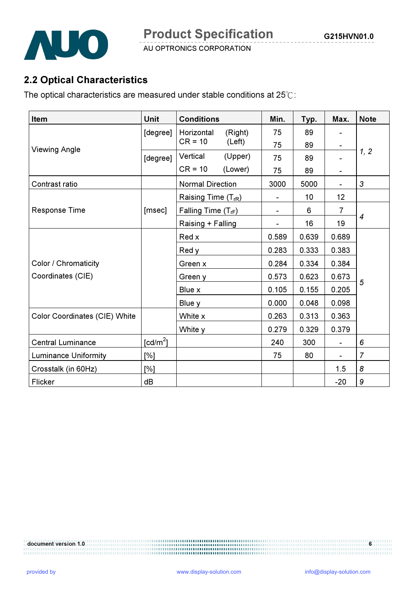

# 2.2 Optical Characteristics

The optical characteristics are measured under stable conditions at 25℃:

| <b>Item</b>                          | Unit                 | <b>Conditions</b>               | Min.  | Typ.  | Max.           | <b>Note</b>    |
|--------------------------------------|----------------------|---------------------------------|-------|-------|----------------|----------------|
|                                      | [degree]             | (Right)<br>Horizontal           | 75    | 89    |                |                |
| <b>Viewing Angle</b>                 |                      | $CR = 10$<br>(Left)             | 75    | 89    |                |                |
|                                      | [degree]             | Vertical<br>(Upper)             | 75    | 89    |                | 1, 2           |
|                                      |                      | $CR = 10$<br>(Lower)            | 75    | 89    | $\blacksquare$ |                |
| Contrast ratio                       |                      | <b>Normal Direction</b>         | 3000  | 5000  |                | 3              |
|                                      |                      | Raising Time (T <sub>rR</sub> ) |       | 10    | 12             |                |
| Response Time                        | [msec]               | Falling Time $(T_{rF})$         |       | 6     | $\overline{7}$ |                |
|                                      |                      | Raising + Falling               |       | 16    | 19             | 4              |
|                                      |                      | Red x                           | 0.589 | 0.639 | 0.689          |                |
|                                      |                      | Red y                           | 0.283 | 0.333 | 0.383          |                |
| Color / Chromaticity                 |                      | Green x                         | 0.284 | 0.334 | 0.384          |                |
| Coordinates (CIE)                    |                      | Green y                         | 0.573 | 0.623 | 0.673          |                |
|                                      |                      | Blue x                          | 0.105 | 0.155 | 0.205          | 5              |
|                                      |                      | Blue y                          | 0.000 | 0.048 | 0.098          |                |
| <b>Color Coordinates (CIE) White</b> |                      | White x                         | 0.263 | 0.313 | 0.363          |                |
|                                      |                      | White y                         | 0.279 | 0.329 | 0.379          |                |
| <b>Central Luminance</b>             | [cd/m <sup>2</sup> ] |                                 | 240   | 300   |                | 6              |
| <b>Luminance Uniformity</b>          | [%]                  |                                 | 75    | 80    |                | $\overline{7}$ |
| Crosstalk (in 60Hz)                  | [%]                  |                                 |       |       | 1.5            | 8              |
| Flicker                              | dB                   |                                 |       |       | $-20$          | 9              |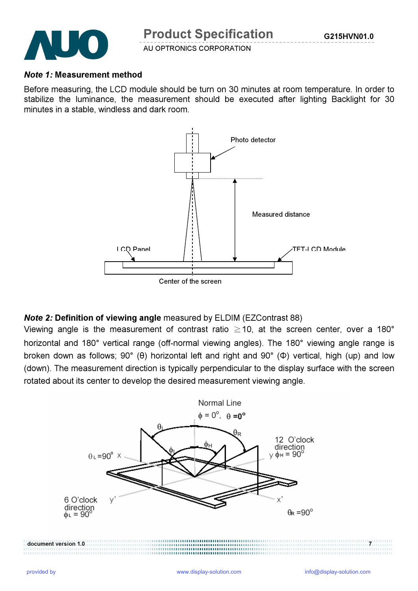

#### Note 1: Measurement method

Before measuring, the LCD module should be turn on 30 minutes at room temperature. In order to stabilize the luminance, the measurement should be executed after lighting Backlight for 30 minutes in a stable, windless and dark room.



### Note 2: Definition of viewing angle measured by ELDIM (EZContrast 88)

Viewing angle is the measurement of contrast ratio  $\geq$  10, at the screen center, over a 180° horizontal and 180° vertical range (off-normal viewing angles). The 180° viewing angle range is broken down as follows; 90° (θ) horizontal left and right and 90° (Φ) vertical, high (up) and low (down). The measurement direction is typically perpendicular to the display surface with the screen rotated about its center to develop the desired measurement viewing angle.

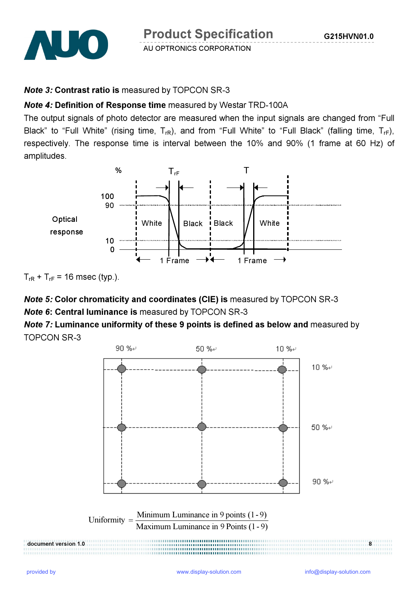

Product Specification

AU OPTRONICS CORPORATION

#### Note 3: Contrast ratio is measured by TOPCON SR-3

### Note 4: Definition of Response time measured by Westar TRD-100A

The output signals of photo detector are measured when the input signals are changed from "Full Black" to "Full White" (rising time,  $T_{rR}$ ), and from "Full White" to "Full Black" (falling time,  $T_{rF}$ ), respectively. The response time is interval between the 10% and 90% (1 frame at 60 Hz) of amplitudes.





# Note 5: Color chromaticity and coordinates (CIE) is measured by TOPCON SR-3 Note 6: Central luminance is measured by TOPCON SR-3

Note 7: Luminance uniformity of these 9 points is defined as below and measured by TOPCON SR-3

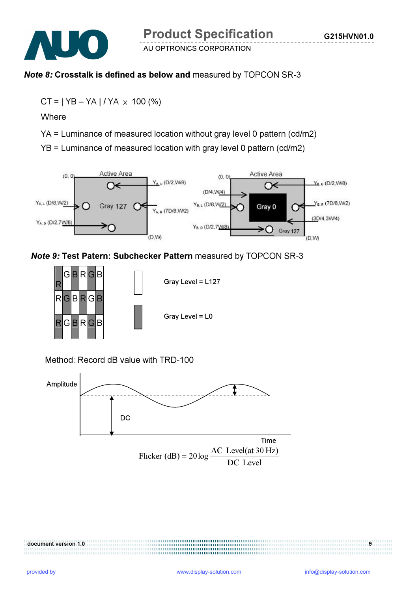

# Note 8: Crosstalk is defined as below and measured by TOPCON SR-3

 $CT = | YB - YA | / YA \times 100 (%)$ 

**Where** 

YA = Luminance of measured location without gray level 0 pattern (cd/m2)

YB = Luminance of measured location with gray level 0 pattern (cd/m2)



# Note 9: Test Patern: Subchecker Pattern measured by TOPCON SR-3



Method: Record dB value with TRD-100

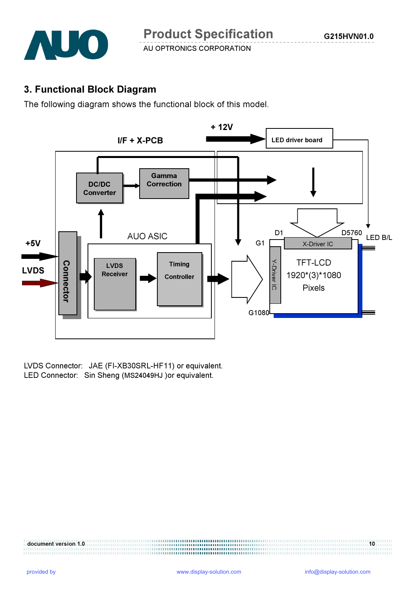

## 3. Functional Block Diagram

The following diagram shows the functional block of this model.



LVDS Connector: JAE (FI-XB30SRL-HF11) or equivalent.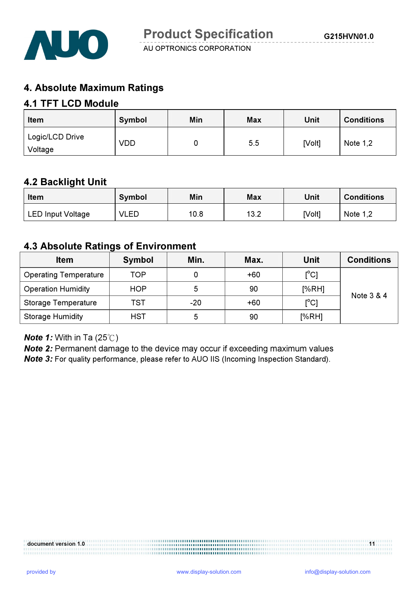

# 4. Absolute Maximum Ratings

# 4.1 TFT LCD Module

| Item                       | Symbol | Min | <b>Max</b> | Unit   | <b>Conditions</b> |
|----------------------------|--------|-----|------------|--------|-------------------|
| Logic/LCD Drive<br>Voltage | VDD    | u   | 5.5        | [Volt] | Note $1,2$        |

## 4.2 Backlight Unit

| Item                     | Symbol      | Min  | <b>Max</b> | Unit   | <b>Conditions</b> |
|--------------------------|-------------|------|------------|--------|-------------------|
| <b>LED Input Voltage</b> | <b>VLED</b> | 10.8 | 13.2       | [Volt] | Note $1,2$        |

## 4.3 Absolute Ratings of Environment

| <b>Item</b>                  | <b>Symbol</b> | Min.  | Max.  | Unit                                    | <b>Conditions</b> |
|------------------------------|---------------|-------|-------|-----------------------------------------|-------------------|
| <b>Operating Temperature</b> | TOP           | 0     | $+60$ | $\mathsf{I}^\circ\mathsf{C} \mathsf{I}$ |                   |
| <b>Operation Humidity</b>    | <b>HOP</b>    | 5     | 90    | [%RH]                                   | Note 3 & 4        |
| <b>Storage Temperature</b>   | TST           | $-20$ | +60   | $\mathsf{I}^\circ\mathsf{C} \mathsf{I}$ |                   |
| <b>Storage Humidity</b>      | <b>HST</b>    | 5     | 90    | [%RH]                                   |                   |

#### **Note 1:** With in Ta  $(25^{\circ}\text{C})$

Note 2: Permanent damage to the device may occur if exceeding maximum values Note 3: For quality performance, please refer to AUO IIS (Incoming Inspection Standard).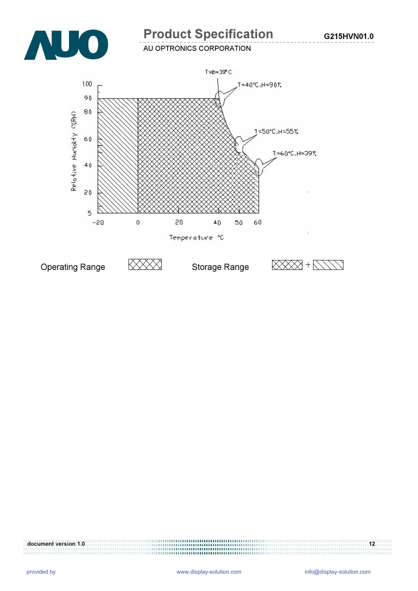

# Product Specification

G215HVN01.0

AU OPTRONICS CORPORATION

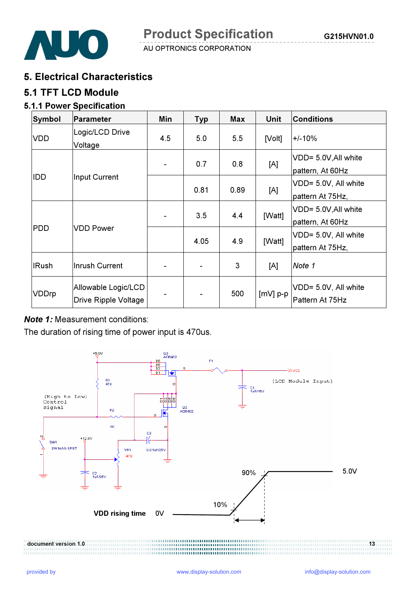



## 5. Electrical Characteristics

## 5.1 TFT LCD Module

### 5.1.1 Power Specification

| Symbol       | Parameter                                   | Min            | <b>Typ</b> | <b>Max</b> | <b>Unit</b> | <b>Conditions</b>                        |
|--------------|---------------------------------------------|----------------|------------|------------|-------------|------------------------------------------|
| <b>VDD</b>   | Logic/LCD Drive<br>Voltage                  | 4.5            | 5.0        | 5.5        | [Volt]      | $+/-10%$                                 |
| IDD          |                                             | $\blacksquare$ | 0.7        | 0.8        | [A]         | VDD= 5.0V, All white<br>pattern, At 60Hz |
|              | Input Current                               |                | 0.81       | 0.89       | [A]         | VDD= 5.0V, All white<br>pattern At 75Hz, |
| <b>PDD</b>   | <b>VDD Power</b>                            | ۰              | 3.5        | 4.4        | [Watt]      | VDD= 5.0V, All white<br>pattern, At 60Hz |
|              |                                             |                | 4.05       | 4.9        | [Watt]      | VDD= 5.0V, All white<br>pattern At 75Hz, |
| <b>IRush</b> | Inrush Current                              |                |            | 3          | [A]         | Note 1                                   |
| VDDrp        | Allowable Logic/LCD<br>Drive Ripple Voltage | ۰              |            | 500        | $[mV]$ p-p  | VDD= 5.0V, All white<br>Pattern At 75Hz  |

### **Note 1:** Measurement conditions:

The duration of rising time of power input is 470us.

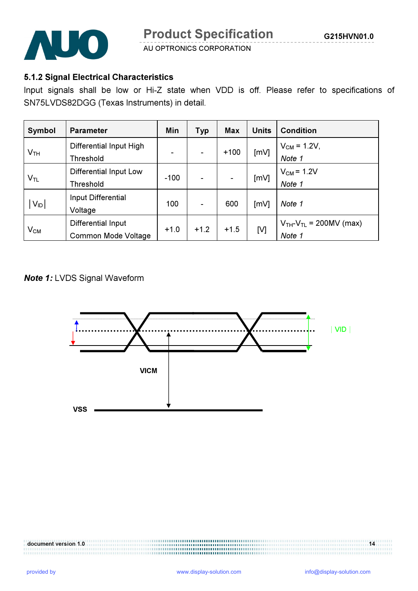

## 5.1.2 Signal Electrical Characteristics

Input signals shall be low or Hi-Z state when VDD is off. Please refer to specifications of SN75LVDS82DGG (Texas Instruments) in detail.

| Symbol          | <b>Parameter</b>                                 | Min    | <b>Typ</b> | Max    | <b>Units</b> | <b>Condition</b>                        |
|-----------------|--------------------------------------------------|--------|------------|--------|--------------|-----------------------------------------|
| V <sub>TH</sub> | Differential Input High<br>Threshold             | ۰      |            | $+100$ | [mV]         | $V_{CM} = 1.2V,$<br>Note 1              |
| $V_{TL}$        | Differential Input Low<br>Threshold              | $-100$ |            |        | [mV]         | $V_{CM}$ = 1.2V<br>Note 1               |
| $V_{ID}$        | Input Differential<br>Voltage                    | 100    |            | 600    | [mV]         | Note 1                                  |
| $V_{CM}$        | Differential Input<br><b>Common Mode Voltage</b> | $+1.0$ | $+1.2$     | $+1.5$ | [V]          | $V_{TH}-V_{TL} = 200MV$ (max)<br>Note 1 |

#### **Note 1: LVDS Signal Waveform**

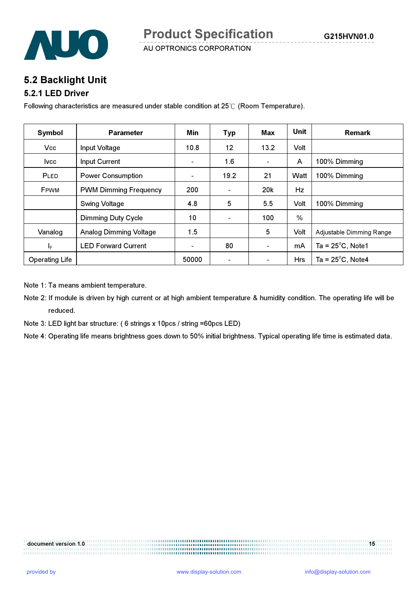

G215HVN01.0



AU OPTRONICS CORPORATION

## 5.2 Backlight Unit

#### 5.2.1 LED Driver

Following characteristics are measured under stable condition at 25℃ (Room Temperature).

| Symbol                  | <b>Parameter</b>              | Min                      | <b>Typ</b>               | Max                      | <b>Unit</b>   | <b>Remark</b>              |
|-------------------------|-------------------------------|--------------------------|--------------------------|--------------------------|---------------|----------------------------|
| <b>Vcc</b>              | Input Voltage                 | 10.8                     | 12                       | 13.2                     | Volt          |                            |
| <b>Ivcc</b>             | <b>Input Current</b>          | $\overline{\phantom{0}}$ | 1.6                      | $\blacksquare$           | A             | 100% Dimming               |
| PLED                    | <b>Power Consumption</b>      | $\blacksquare$           | 19.2                     | 21                       | Watt          | 100% Dimming               |
| FPWM                    | <b>PWM Dimming Frequency</b>  | 200                      | $\overline{\phantom{0}}$ | 20 <sub>k</sub>          | Hz            |                            |
|                         | <b>Swing Voltage</b>          | 4.8                      | 5                        | 5.5                      | Volt          | 100% Dimming               |
|                         | <b>Dimming Duty Cycle</b>     | 10                       | $\blacksquare$           | 100                      | $\frac{0}{0}$ |                            |
| Vanalog                 | <b>Analog Dimming Voltage</b> | 1.5                      |                          | 5                        | Volt          | Adjustable Dimming Range   |
| $\mathsf{I}_\mathsf{F}$ | <b>LED Forward Current</b>    | $\overline{\phantom{a}}$ | 80                       | $\blacksquare$           | mA            | Ta = $25^{\circ}$ C, Note1 |
| <b>Operating Life</b>   |                               | 50000                    | $\overline{\phantom{0}}$ | $\overline{\phantom{a}}$ | <b>Hrs</b>    | Ta = $25^{\circ}$ C, Note4 |

Note 1: Ta means ambient temperature.

- Note 2: If module is driven by high current or at high ambient temperature & humidity condition. The operating life will be reduced.
- Note 3: LED light bar structure: ( 6 strings x 10pcs / string =60pcs LED)

Note 4: Operating life means brightness goes down to 50% initial brightness. Typical operating life time is estimated data.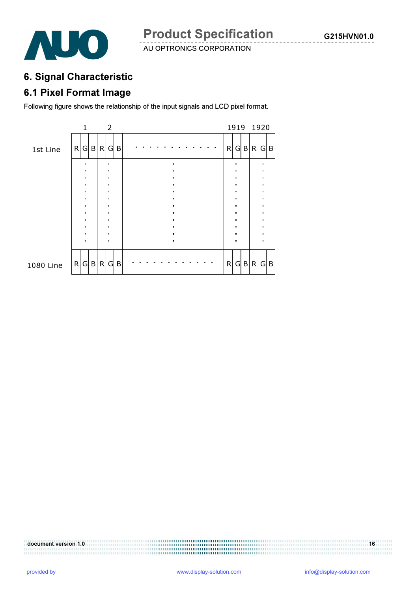

# 6. Signal Characteristic

# 6.1 Pixel Format Image

Following figure shows the relationship of the input signals and LCD pixel format.

|           |   | 1 |           |   | 2 |   |  |  |  |  |  |   |  | 1919 1920 |  |
|-----------|---|---|-----------|---|---|---|--|--|--|--|--|---|--|-----------|--|
| 1st Line  | R |   | G B R G B |   |   |   |  |  |  |  |  | R |  | G B R G B |  |
|           |   |   |           |   |   |   |  |  |  |  |  |   |  |           |  |
|           |   |   |           |   |   |   |  |  |  |  |  |   |  |           |  |
|           |   |   |           |   |   |   |  |  |  |  |  |   |  |           |  |
|           |   |   |           |   |   |   |  |  |  |  |  |   |  |           |  |
|           |   |   |           |   |   |   |  |  |  |  |  |   |  |           |  |
|           |   |   |           |   |   |   |  |  |  |  |  |   |  |           |  |
| 1080 Line | R |   | G B       | R | G | B |  |  |  |  |  | R |  | G B R G B |  |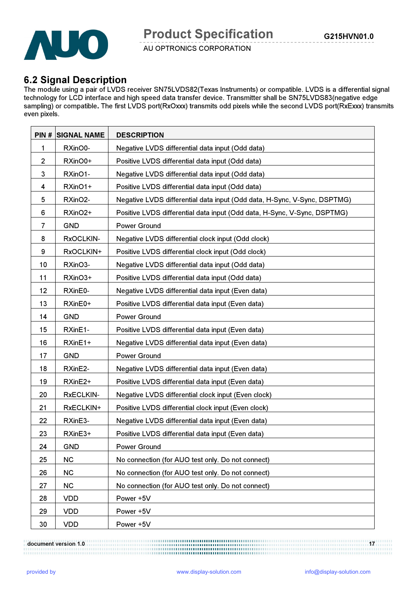

# 6.2 Signal Description

The module using a pair of LVDS receiver SN75LVDS82(Texas Instruments) or compatible. LVDS is a differential signal technology for LCD interface and high speed data transfer device. Transmitter shall be SN75LVDS83(negative edge sampling) or compatible. The first LVDS port(RxOxxx) transmits odd pixels while the second LVDS port(RxExxx) transmits even pixels.

|                | <b>PIN # SIGNAL NAME</b> | <b>DESCRIPTION</b>                                                       |
|----------------|--------------------------|--------------------------------------------------------------------------|
| 1              | RXinO0-                  | Negative LVDS differential data input (Odd data)                         |
| $\overline{2}$ | RXinO0+                  | Positive LVDS differential data input (Odd data)                         |
| 3              | RXinO1-                  | Negative LVDS differential data input (Odd data)                         |
| 4              | RXinO1+                  | Positive LVDS differential data input (Odd data)                         |
| 5              | RXinO2-                  | Negative LVDS differential data input (Odd data, H-Sync, V-Sync, DSPTMG) |
| 6              | RXinO2+                  | Positive LVDS differential data input (Odd data, H-Sync, V-Sync, DSPTMG) |
| 7              | <b>GND</b>               | Power Ground                                                             |
| 8              | RxOCLKIN-                | Negative LVDS differential clock input (Odd clock)                       |
| 9              | RxOCLKIN+                | Positive LVDS differential clock input (Odd clock)                       |
| 10             | RXinO3-                  | Negative LVDS differential data input (Odd data)                         |
| 11             | RXinO3+                  | Positive LVDS differential data input (Odd data)                         |
| 12             | RXinE0-                  | Negative LVDS differential data input (Even data)                        |
| 13             | RXinE0+                  | Positive LVDS differential data input (Even data)                        |
| 14             | <b>GND</b>               | <b>Power Ground</b>                                                      |
| 15             | RXinE1-                  | Positive LVDS differential data input (Even data)                        |
| 16             | RXinE1+                  | Negative LVDS differential data input (Even data)                        |
| 17             | <b>GND</b>               | <b>Power Ground</b>                                                      |
| 18             | RXinE2-                  | Negative LVDS differential data input (Even data)                        |
| 19             | RXinE2+                  | Positive LVDS differential data input (Even data)                        |
| 20             | <b>RxECLKIN-</b>         | Negative LVDS differential clock input (Even clock)                      |
| 21             | RxECLKIN+                | Positive LVDS differential clock input (Even clock)                      |
| 22             | RXinE3-                  | Negative LVDS differential data input (Even data)                        |
| 23             | RXinE3+                  | Positive LVDS differential data input (Even data)                        |
| 24             | <b>GND</b>               | <b>Power Ground</b>                                                      |
| 25             | <b>NC</b>                | No connection (for AUO test only. Do not connect)                        |
| 26             | <b>NC</b>                | No connection (for AUO test only. Do not connect)                        |
| 27             | <b>NC</b>                | No connection (for AUO test only. Do not connect)                        |
| 28             | <b>VDD</b>               | Power +5V                                                                |
| 29             | <b>VDD</b>               | Power +5V                                                                |
| 30             | <b>VDD</b>               | Power +5V                                                                |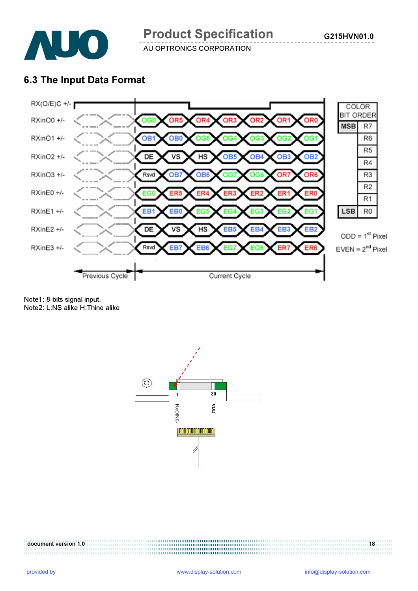

# 6.3 The Input Data Format



Note1: 8-bits signal input. Note2: L:NS alike H:Thine alike

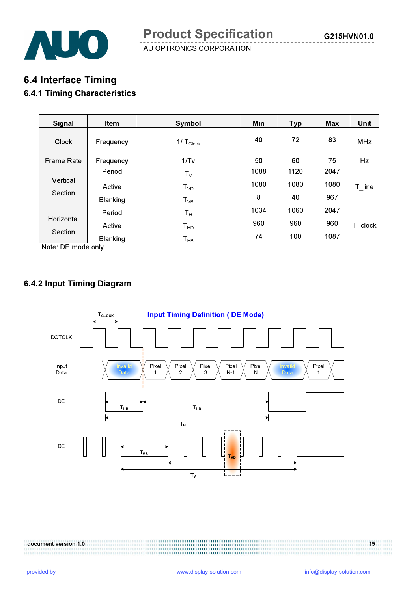

# 6.4 Interface Timing

# 6.4.1 Timing Characteristics

| <b>Signal</b>     | <b>Item</b>     | Symbol                     | Min  | <b>Typ</b> | <b>Max</b> | <b>Unit</b> |
|-------------------|-----------------|----------------------------|------|------------|------------|-------------|
| Clock             | Frequency       | $1/\,T_{\text{Clock}}$     | 40   | 72         | 83         | <b>MHz</b>  |
| <b>Frame Rate</b> | Frequency       | 1/Tv                       | 50   | 60         | 75         | Hz          |
|                   | Period          | $T_{V}$                    | 1088 | 1120       | 2047       |             |
| Vertical          | Active          | $T_{VD}$                   | 1080 | 1080       | 1080       | T line      |
| <b>Section</b>    | <b>Blanking</b> | $T_{VB}$                   | 8    | 40         | 967        |             |
| Horizontal        | Period          | $\mathsf{T}_\mathsf{H}$    | 1034 | 1060       | 2047       |             |
|                   | Active          | $T_{HD}$                   | 960  | 960        | 960        | T_clock     |
| Section           | <b>Blanking</b> | $\mathsf{T}_{\mathsf{HB}}$ | 74   | 100        | 1087       |             |

Note: DE mode only.

## 6.4.2 Input Timing Diagram

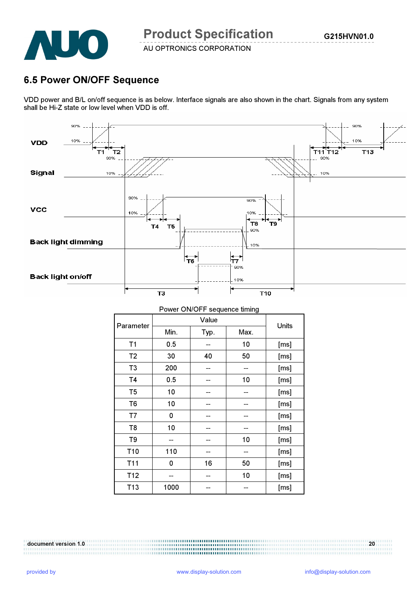

# 6.5 Power ON/OFF Sequence

VDD power and B/L on/off sequence is as below. Interface signals are also shown in the chart. Signals from any system shall be Hi-Z state or low level when VDD is off.



| Power ON/OFF sequence timing |      |       |      |      |  |  |  |
|------------------------------|------|-------|------|------|--|--|--|
| Parameter                    |      | Units |      |      |  |  |  |
|                              | Min. | Typ.  | Max. |      |  |  |  |
| T1                           | 0.5  |       | 10   | [ms] |  |  |  |
| T <sub>2</sub>               | 30   | 40    | 50   | [ms] |  |  |  |
| T <sub>3</sub>               | 200  |       |      | [ms] |  |  |  |
| <b>T4</b>                    | 0.5  |       | 10   | [ms] |  |  |  |
| T <sub>5</sub>               | 10   |       |      | [ms] |  |  |  |
| T <sub>6</sub>               | 10   |       |      | [ms] |  |  |  |
| T7                           | 0    |       |      | [ms] |  |  |  |
| T <sub>8</sub>               | 10   |       |      | [ms] |  |  |  |
| T9                           |      |       | 10   | [ms] |  |  |  |
| T <sub>10</sub>              | 110  |       |      | [ms] |  |  |  |
| T11                          | 0    | 16    | 50   | [ms] |  |  |  |
| T12                          |      |       | 10   | [ms] |  |  |  |
| T <sub>13</sub>              | 1000 |       |      | [ms] |  |  |  |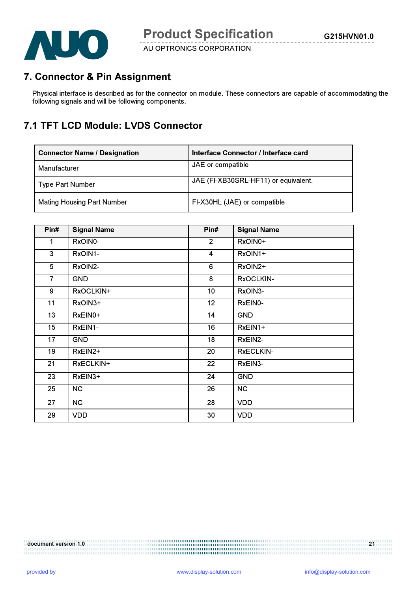

# 7. Connector & Pin Assignment

Physical interface is described as for the connector on module. These connectors are capable of accommodating the following signals and will be following components.

# 7.1 TFT LCD Module: LVDS Connector

| <b>Connector Name / Designation</b> | Interface Connector / Interface card |
|-------------------------------------|--------------------------------------|
| Manufacturer                        | JAE or compatible                    |
| <b>Type Part Number</b>             | JAE (FI-XB30SRL-HF11) or equivalent. |
| <b>Mating Housing Part Number</b>   | FI-X30HL (JAE) or compatible         |

| Pin#           | <b>Signal Name</b> | Pin#            | <b>Signal Name</b> |
|----------------|--------------------|-----------------|--------------------|
| 1              | RxOIN0-            | $\overline{2}$  | RxOIN0+            |
| 3              | RxOIN1-            | 4               | RxOIN1+            |
| 5              | RxOIN2-            | 6               | RxOIN2+            |
| $\overline{7}$ | <b>GND</b>         | 8               | RxOCLKIN-          |
| 9              | RxOCLKIN+          | 10 <sub>1</sub> | RxOIN3-            |
| 11             | RxOIN3+            | 12              | RxEIN0-            |
| 13             | RxEIN0+            | 14              | <b>GND</b>         |
| 15             | RxEIN1-            | 16              | $RxEIN1+$          |
| 17             | <b>GND</b>         | 18              | RxEIN2-            |
| 19             | RxEIN2+            | 20              | <b>RxECLKIN-</b>   |
| 21             | RxECLKIN+          | 22              | RxEIN3-            |
| 23             | RxEIN3+            | 24              | <b>GND</b>         |
| 25             | <b>NC</b>          | 26              | <b>NC</b>          |
| 27             | <b>NC</b>          | 28              | <b>VDD</b>         |
| 29             | <b>VDD</b>         | 30              | <b>VDD</b>         |

document version 1.0 21

,,,,,,,,,,,,,,,,,,,,,,,,,,,,,, ...............................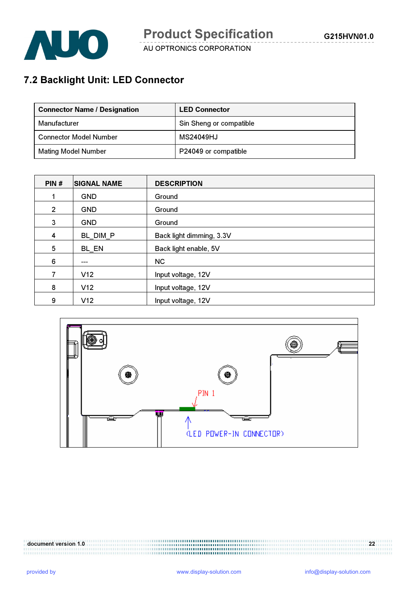

# 7.2 Backlight Unit: LED Connector

| <b>Connector Name / Designation</b> | <b>LED Connector</b>    |
|-------------------------------------|-------------------------|
| Manufacturer                        | Sin Sheng or compatible |
| <b>Connector Model Number</b>       | MS24049HJ               |
| <b>Mating Model Number</b>          | P24049 or compatible    |

| PIN#           | <b>SIGNAL NAME</b> | <b>DESCRIPTION</b>       |
|----------------|--------------------|--------------------------|
|                | <b>GND</b>         | Ground                   |
| $\overline{2}$ | <b>GND</b>         | Ground                   |
| 3              | <b>GND</b>         | Ground                   |
| 4              | BL DIM P           | Back light dimming, 3.3V |
| 5              | BL EN              | Back light enable, 5V    |
| 6              | ---                | NC.                      |
| 7              | V12                | Input voltage, 12V       |
| 8              | V12                | Input voltage, 12V       |
| 9              | V12                | Input voltage, 12V       |



..............................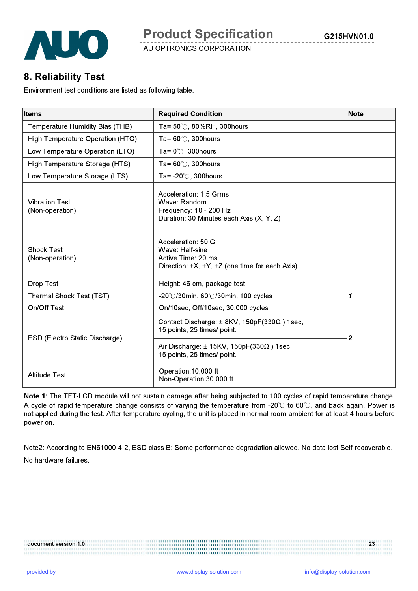

# 8. Reliability Test

Environment test conditions are listed as following table.

| <b>Items</b>                             | <b>Required Condition</b>                                                                                                      | <b>Note</b>      |  |
|------------------------------------------|--------------------------------------------------------------------------------------------------------------------------------|------------------|--|
| <b>Temperature Humidity Bias (THB)</b>   | Ta= 50℃, 80%RH, 300hours                                                                                                       |                  |  |
| High Temperature Operation (HTO)         | Ta= $60^{\circ}$ C, 300 hours                                                                                                  |                  |  |
| Low Temperature Operation (LTO)          | Ta= $0^\circ\text{C}$ , 300 hours                                                                                              |                  |  |
| High Temperature Storage (HTS)           | Ta= $60^{\circ}$ C, 300 hours                                                                                                  |                  |  |
| Low Temperature Storage (LTS)            | Ta= $-20^{\circ}$ C, 300 hours                                                                                                 |                  |  |
| <b>Vibration Test</b><br>(Non-operation) | Acceleration: 1.5 Grms<br>Wave: Random<br>Frequency: 10 - 200 Hz<br>Duration: 30 Minutes each Axis (X, Y, Z)                   |                  |  |
| <b>Shock Test</b><br>(Non-operation)     | Acceleration: 50 G<br>Wave: Half-sine<br>Active Time: 20 ms<br>Direction: $\pm X$ , $\pm Y$ , $\pm Z$ (one time for each Axis) |                  |  |
| <b>Drop Test</b>                         | Height: 46 cm, package test                                                                                                    |                  |  |
| Thermal Shock Test (TST)                 | $-20^{\circ}$ /30min, 60 $^{\circ}$ /30min, 100 cycles                                                                         | $\mathbf{1}$     |  |
| On/Off Test                              | On/10sec, Off/10sec, 30,000 cycles                                                                                             |                  |  |
|                                          | Contact Discharge: $\pm$ 8KV, 150pF(330 $\Omega$ ) 1sec,<br>15 points, 25 times/ point.                                        | $\boldsymbol{2}$ |  |
| <b>ESD (Electro Static Discharge)</b>    | Air Discharge: $\pm$ 15KV, 150pF(330 $\Omega$ ) 1sec<br>15 points, 25 times/ point.                                            |                  |  |
| <b>Altitude Test</b>                     | Operation:10,000 ft<br>Non-Operation:30,000 ft                                                                                 |                  |  |

Note 1: The TFT-LCD module will not sustain damage after being subjected to 100 cycles of rapid temperature change. A cycle of rapid temperature change consists of varying the temperature from -20℃ to 60℃, and back again. Power is not applied during the test. After temperature cycling, the unit is placed in normal room ambient for at least 4 hours before power on.

Note2: According to EN61000-4-2, ESD class B: Some performance degradation allowed. No data lost Self-recoverable. No hardware failures.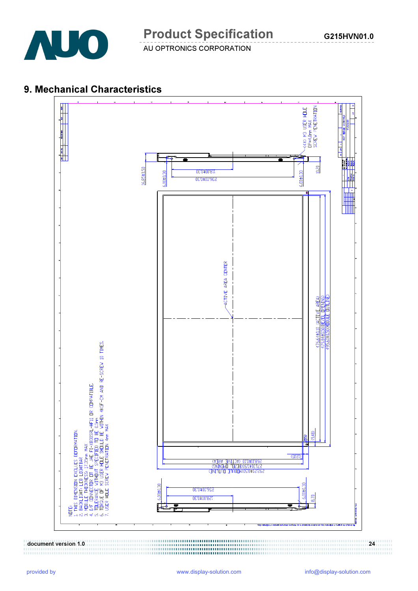

# 9. Mechanical Characteristics

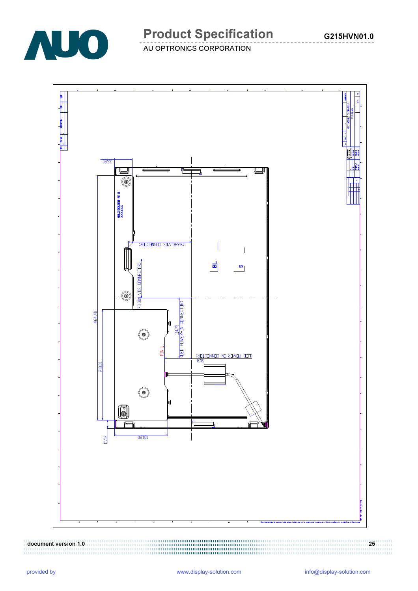

# Product Specification

AU OPTRONICS CORPORATION

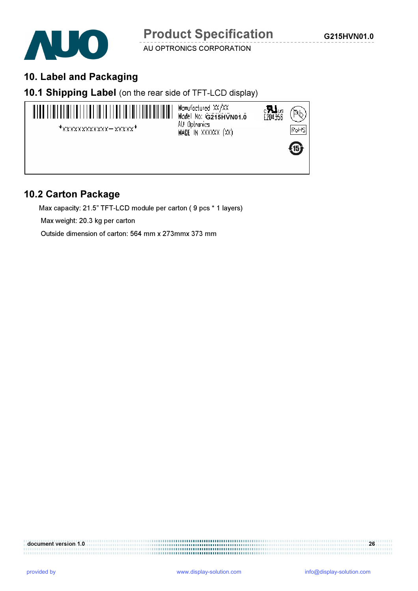

# 10. Label and Packaging

## 10.1 Shipping Label (on the rear side of TFT-LCD display)



## 10.2 Carton Package

Max capacity: 21.5" TFT-LCD module per carton ( 9 pcs \* 1 layers)

Max weight: 20.3 kg per carton

Outside dimension of carton: 564 mm x 273mmx 373 mm